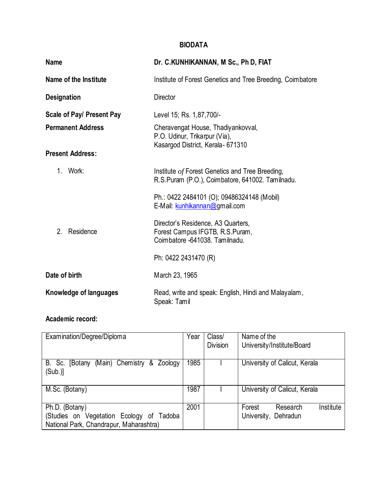## **BIODATA**

| <b>Name</b>                 | Dr. C.KUNHIKANNAN, M Sc., Ph D, FIAT                                                                      |  |
|-----------------------------|-----------------------------------------------------------------------------------------------------------|--|
| Name of the Institute       | Institute of Forest Genetics and Tree Breeding, Coimbatore                                                |  |
| <b>Designation</b>          | <b>Director</b>                                                                                           |  |
| Scale of Pay/ Present Pay   | Level 15; Rs. 1,87,700/-                                                                                  |  |
| <b>Permanent Address</b>    | Cheravengat House, Thadiyankovval,<br>P.O. Udinur, Trikarpur (Via),<br>Kasargod District, Kerala - 671310 |  |
| <b>Present Address:</b>     |                                                                                                           |  |
| $1_{-}$<br>Work:            | Institute of Forest Genetics and Tree Breeding,<br>R.S.Puram (P.O.), Coimbatore, 641002. Tamilnadu.       |  |
|                             | Ph.: 0422 2484101 (O); 09486324148 (Mobil)<br>E-Mail: kunhikannan@gmail.com                               |  |
| 2 <sup>1</sup><br>Residence | Director's Residence, A3 Quarters,<br>Forest Campus IFGTB, R.S.Puram,<br>Coimbatore -641038. Tamilnadu.   |  |
|                             | Ph: 0422 2431470 (R)                                                                                      |  |
| Date of birth               | March 23, 1965                                                                                            |  |
| Knowledge of languages      | Read, write and speak: English, Hindi and Malayalam,<br>Speak: Tamil                                      |  |

# **Academic record:**

| Examination/Degree/Diploma                         | Year | Class/          | Name of the                     |
|----------------------------------------------------|------|-----------------|---------------------------------|
|                                                    |      | <b>Division</b> | University/Institute/Board      |
|                                                    |      |                 |                                 |
| (Main) Chemistry &<br>B. Sc.<br>Zoology<br>[Botany | 1985 |                 | University of Calicut, Kerala   |
| (Sub.)                                             |      |                 |                                 |
|                                                    |      |                 |                                 |
| M.Sc. (Botany)                                     | 1987 |                 | University of Calicut, Kerala   |
|                                                    |      |                 |                                 |
| Ph.D. (Botany)                                     | 2001 |                 | Institute<br>Forest<br>Research |
| (Studies on Vegetation Ecology of Tadoba           |      |                 | University, Dehradun            |
| National Park, Chandrapur, Maharashtra)            |      |                 |                                 |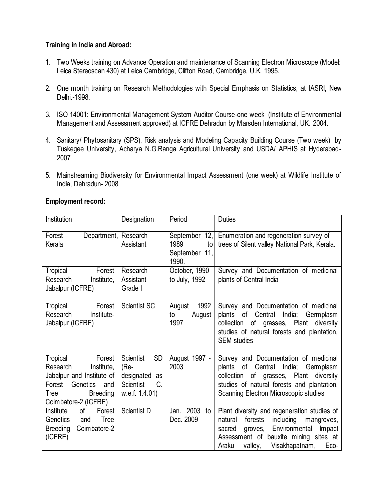### **Training in India and Abroad:**

- 1. Two Weeks training on Advance Operation and maintenance of Scanning Electron Microscope (Model: Leica Stereoscan 430) at Leica Cambridge, Clifton Road, Cambridge, U.K. 1995.
- 2. One month training on Research Methodologies with Special Emphasis on Statistics, at IASRI, New Delhi.-1998.
- 3. ISO 14001: Environmental Management System Auditor Course-one week (Institute of Environmental Management and Assessment approved) at ICFRE Dehradun by Marsden International, UK. 2004.
- 4. Sanitary/ Phytosanitary (SPS), Risk analysis and Modeling Capacity Building Course (Two week) by Tuskegee University, Acharya N.G.Ranga Agricultural University and USDA/ APHIS at Hyderabad-2007
- 5. Mainstreaming Biodiversity for Environmental Impact Assessment (one week) at Wildlife Institute of India, Dehradun- 2008

| Institution                                                                                                                                               | Designation                                                                                    | Period                                                   | <b>Duties</b>                                                                                                                                                                                                                       |
|-----------------------------------------------------------------------------------------------------------------------------------------------------------|------------------------------------------------------------------------------------------------|----------------------------------------------------------|-------------------------------------------------------------------------------------------------------------------------------------------------------------------------------------------------------------------------------------|
| Department,<br>Forest<br>Kerala                                                                                                                           | Research<br>Assistant                                                                          | September<br>12,<br>1989<br>to<br>September 11,<br>1990. | Enumeration and regeneration survey of<br>trees of Silent valley National Park, Kerala.                                                                                                                                             |
| Tropical<br>Forest<br>Research<br>Institute,<br>Jabalpur (ICFRE)                                                                                          | Research<br>Assistant<br>Grade I                                                               | October, 1990<br>to July, 1992                           | Survey and Documentation of medicinal<br>plants of Central India                                                                                                                                                                    |
| Forest<br>Tropical<br>Institute-<br>Research<br>Jabalpur (ICFRE)                                                                                          | Scientist SC                                                                                   | 1992<br>August<br>August<br>to<br>1997                   | Survey and Documentation of medicinal<br>plants of Central India; Germplasm<br>collection of grasses, Plant diversity<br>studies of natural forests and plantation,<br><b>SEM</b> studies                                           |
| Tropical<br>Forest<br>Research<br>Institute,<br>Jabalpur and Institute of<br>Genetics<br>Forest<br>and<br>Tree<br><b>Breeding</b><br>Coimbatore-2 (ICFRE) | <b>SD</b><br>Scientist<br>(Re-<br>designated<br>as<br>C.<br><b>Scientist</b><br>w.e.f. 1.4.01) | August 1997 -<br>2003                                    | Survey and Documentation of medicinal<br>plants of Central India; Germplasm<br>collection of grasses, Plant diversity<br>studies of natural forests and plantation,<br>Scanning Electron Microscopic studies                        |
| Institute<br>of<br>Forest<br>Genetics<br><b>Tree</b><br>and<br>Coimbatore-2<br><b>Breeding</b><br>(ICFRE)                                                 | Scientist D                                                                                    | Jan. 2003<br>to<br>Dec. 2009                             | Plant diversity and regeneration studies of<br>forests<br>including<br>natural<br>mangroves,<br>Environmental<br>Impact<br>sacred<br>groves,<br>Assessment of bauxite mining sites at<br>Visakhapatnam,<br>Araku<br>valley,<br>Eco- |

### **Employment record:**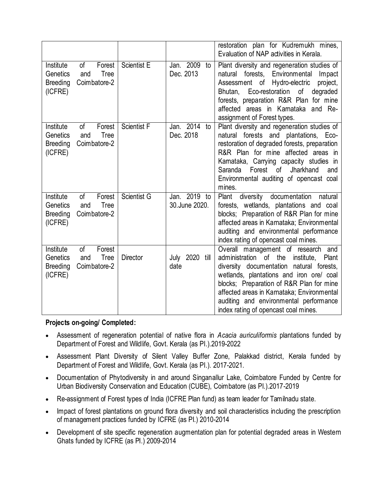|                                                     |                                                    |                    |                               | restoration plan for Kudremukh mines,<br>Evaluation of NAP activities in Kerala.                                                                                                                                                                                                                                                                          |
|-----------------------------------------------------|----------------------------------------------------|--------------------|-------------------------------|-----------------------------------------------------------------------------------------------------------------------------------------------------------------------------------------------------------------------------------------------------------------------------------------------------------------------------------------------------------|
| Institute<br>Genetics<br><b>Breeding</b><br>(ICFRE) | of<br>Forest<br>Tree<br>and<br>Coimbatore-2        | <b>Scientist E</b> | Jan. 2009<br>to<br>Dec. 2013  | Plant diversity and regeneration studies of<br>natural forests, Environmental<br>Impact<br>Assessment of Hydro-electric<br>project,<br>Eco-restoration<br>of<br>degraded<br>Bhutan,<br>forests, preparation R&R Plan for mine<br>affected areas in Karnataka and Re-<br>assignment of Forest types.                                                       |
| Institute<br>Genetics<br><b>Breeding</b><br>(ICFRE) | of<br>Forest<br><b>Tree</b><br>and<br>Coimbatore-2 | Scientist F        | Jan. 2014<br>to<br>Dec. 2018  | Plant diversity and regeneration studies of<br>natural forests and plantations, Eco-<br>restoration of degraded forests, preparation<br>R&R Plan for mine affected areas in<br>Karnataka, Carrying capacity studies in<br>Forest<br>Saranda<br>of<br>Jharkhand<br>and<br>Environmental auditing of opencast coal<br>mines.                                |
| Institute<br>Genetics<br><b>Breeding</b><br>(ICFRE) | 0f<br>Forest<br><b>Tree</b><br>and<br>Coimbatore-2 | Scientist G        | Jan. 2019 to<br>30.June 2020. | diversity documentation natural<br>Plant<br>forests, wetlands, plantations and coal<br>blocks; Preparation of R&R Plan for mine<br>affected areas in Karnataka; Environmental<br>auditing and environmental performance<br>index rating of opencast coal mines.                                                                                           |
| Institute<br>Genetics<br><b>Breeding</b><br>(ICFRE) | of<br>Forest<br><b>Tree</b><br>and<br>Coimbatore-2 | <b>Director</b>    | July 2020 till<br>date        | Overall management of research<br>and<br>administration of the<br>institute.<br>Plant<br>diversity documentation natural forests,<br>wetlands, plantations and iron ore/ coal<br>blocks; Preparation of R&R Plan for mine<br>affected areas in Karnataka; Environmental<br>auditing and environmental performance<br>index rating of opencast coal mines. |

**Projects on-going/ Completed:**

- Assessment of regeneration potential of native flora in *Acacia auriculiformis* plantations funded by Department of Forest and Wildlife, Govt. Kerala (as PI.).2019-2022
- Assessment Plant Diversity of Silent Valley Buffer Zone, Palakkad district, Kerala funded by Department of Forest and Wildlife, Govt. Kerala (as PI.). 2017-2021.
- Documentation of Phytodiversity in and around Singanallur Lake, Coimbatore Funded by Centre for Urban Biodiversity Conservation and Education (CUBE), Coimbatore (as PI.).2017-2019
- Re-assignment of Forest types of India (ICFRE Plan fund) as team leader for Tamilnadu state.
- Impact of forest plantations on ground flora diversity and soil characteristics including the prescription of management practices funded by ICFRE (as PI.) 2010-2014
- Development of site specific regeneration augmentation plan for potential degraded areas in Western Ghats funded by ICFRE (as PI.) 2009-2014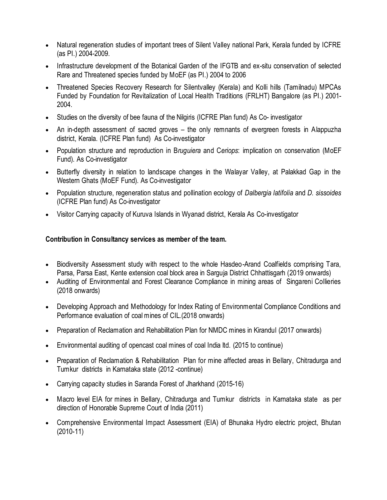- Natural regeneration studies of important trees of Silent Valley national Park, Kerala funded by ICFRE (as PI.) 2004-2009.
- Infrastructure development of the Botanical Garden of the IFGTB and ex-situ conservation of selected Rare and Threatened species funded by MoEF (as PI.) 2004 to 2006
- Threatened Species Recovery Research for Silentvalley (Kerala) and Kolli hills (Tamilnadu) MPCAs Funded by Foundation for Revitalization of Local Health Traditions (FRLHT) Bangalore (as PI.) 2001- 2004.
- Studies on the diversity of bee fauna of the Nilgiris (ICFRE Plan fund) As Co- investigator
- An in-depth assessment of sacred groves the only remnants of evergreen forests in Alappuzha district, Kerala. (ICFRE Plan fund) As Co-investigator
- Population structure and reproduction in B*ruguiera* and C*eriops*: implication on conservation (MoEF Fund). As Co-investigator
- Butterfly diversity in relation to landscape changes in the Walayar Valley, at Palakkad Gap in the Western Ghats (MoEF Fund). As Co-investigator
- Population structure, regeneration status and pollination ecology of *Dalbergia latifolia* and *D. sissoides* (ICFRE Plan fund) As Co-investigator
- Visitor Carrying capacity of Kuruva Islands in Wyanad district, Kerala As Co-investigator

### **Contribution in Consultancy services as member of the team.**

- Biodiversity Assessment study with respect to the whole Hasdeo-Arand Coalfields comprising Tara, Parsa, Parsa East, Kente extension coal block area in Sarguja District Chhattisgarh (2019 onwards)
- Auditing of Environmental and Forest Clearance Compliance in mining areas of Singareni Collieries (2018 onwards)
- Developing Approach and Methodology for Index Rating of Environmental Compliance Conditions and Performance evaluation of coal mines of CIL.(2018 onwards)
- Preparation of Reclamation and Rehabilitation Plan for NMDC mines in Kirandul (2017 onwards)
- Environmental auditing of opencast coal mines of coal India ltd. (2015 to continue)
- Preparation of Reclamation & Rehabilitation Plan for mine affected areas in Bellary, Chitradurga and Tumkur districts in Karnataka state (2012 -continue)
- Carrying capacity studies in Saranda Forest of Jharkhand (2015-16)
- Macro level EIA for mines in Bellary, Chitradurga and Tumkur districts in Karnataka state as per direction of Honorable Supreme Court of India (2011)
- Comprehensive Environmental Impact Assessment (EIA) of Bhunaka Hydro electric project, Bhutan (2010-11)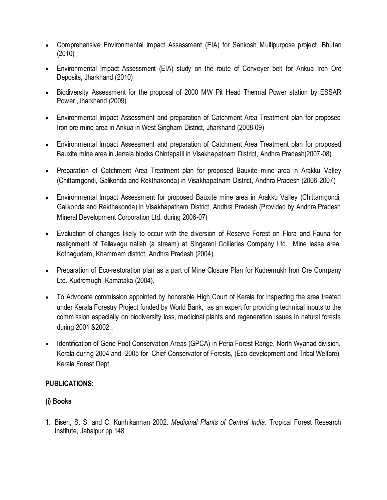- Comprehensive Environmental Impact Assessment (EIA) for Sankosh Multipurpose project, Bhutan (2010)
- Environmental Impact Assessment (EIA) study on the route of Conveyer belt for Ankua Iron Ore Deposits, Jharkhand (2010)
- Biodiversity Assessment for the proposal of 2000 MW Pit Head Thermal Power station by ESSAR Power ,Jharkhand (2009)
- Environmental Impact Assessment and preparation of Catchment Area Treatment plan for proposed Iron ore mine area in Ankua in West Singham District, Jharkhand (2008-09)
- Environmental Impact Assessment and preparation of Catchment Area Treatment plan for proposed Bauxite mine area in Jerrela blocks Chintapalli in Visakhapatnam District, Andhra Pradesh(2007-08)
- Preparation of Catchment Area Treatment plan for proposed Bauxite mine area in Arakku Valley (Chittamgondi, Galikonda and Rekthakonda) in Visakhapatnam District, Andhra Pradesh (2006-2007)
- Environmental Impact Assessment for proposed Bauxite mine area in Arakku Valley (Chittamgondi, Galikonda and Rekthakonda) in Visakhapatnam District, Andhra Pradesh (Provided by Andhra Pradesh Mineral Development Corporation Ltd. during 2006-07)
- Evaluation of changes likely to occur with the diversion of Reserve Forest on Flora and Fauna for realignment of Tellavagu nallah (a stream) at Singareni Collieries Company Ltd. Mine lease area, Kothagudem, Khammam district, Andhra Pradesh (2004).
- Preparation of Eco-restoration plan as a part of Mine Closure Plan for Kudremukh Iron Ore Company Ltd. Kudremugh, Karnataka (2004).
- To Advocate commission appointed by honorable High Court of Kerala for inspecting the area treated under Kerala Forestry Project funded by World Bank, as an expert for providing technical inputs to the commission especially on biodiversity loss, medicinal plants and regeneration issues in natural forests during 2001 &2002..
- Identification of Gene Pool Conservation Areas (GPCA) in Peria Forest Range, North Wyanad division, Kerala during 2004 and 2005 for Chief Conservator of Forests, (Eco-development and Tribal Welfare), Kerala Forest Dept.

## **PUBLICATIONS:**

### **(i) Books**

1. Bisen, S. S. and C. Kunhikannan 2002. *Medicinal Plants of Central India,* Tropical Forest Research Institute, Jabalpur pp 148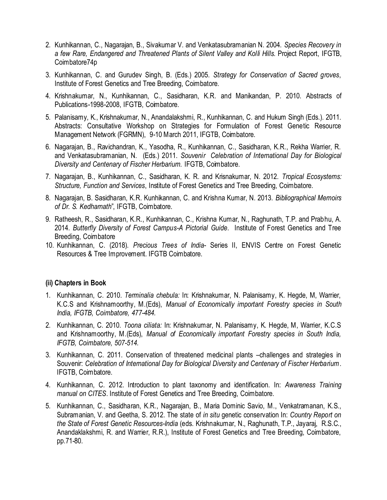- 2. Kunhikannan, C., Nagarajan, B., Sivakumar V. and Venkatasubramanian N. 2004. *Species Recovery in a few Rare, Endangered and Threatened Plants of Silent Valley and Kolli Hills.* Project Report, IFGTB, Coimbatore74p
- 3. Kunhikannan, C. and Gurudev Singh, B. (Eds.) 2005. *Strategy for Conservation of Sacred groves*, Institute of Forest Genetics and Tree Breeding, Coimbatore.
- 4. Krishnakumar, N., Kunhikannan, C., Sasidharan, K.R. and Manikandan, P. 2010. Abstracts of Publications-1998-2008, IFGTB, Coimbatore.
- 5. Palanisamy, K., Krishnakumar, N., Anandalakshmi, R., Kunhikannan, C. and Hukum Singh (Eds.). 2011. Abstracts: Consultative Workshop on Strategies for Formulation of Forest Genetic Resource Management Network (FGRMN), 9-10 March 2011, IFGTB, Coimbatore.
- 6. Nagarajan, B., Ravichandran, K., Yasodha, R., Kunhikannan, C., Sasidharan, K.R., Rekha Warrier, R. and Venkatasubramanian, N. (Eds.) 2011. *Souvenir Celebration of International Day for Biological Diversity and Centenary of Fischer Herbarium.* IFGTB, Coimbatore.
- 7. Nagarajan, B., Kunhikannan, C., Sasidharan, K. R. and Krisnakumar, N. 2012. *Tropical Ecosystems: Structure, Function and Services*, Institute of Forest Genetics and Tree Breeding, Coimbatore.
- 8. Nagarajan, B. Sasidharan, K.R. Kunhikannan, C. and Krishna Kumar, N. 2013. *Bibliographical Memoirs of Dr. S. Kedharnath*", IFGTB, Coimbatore.
- 9. Ratheesh, R., Sasidharan, K.R., Kunhikannan, C., Krishna Kumar, N., Raghunath, T.P. and Prabhu, A. 2014. *Butterfly Diversity of Forest Campus-A Pictorial Guide*. Institute of Forest Genetics and Tree Breeding, Coimbatore
- 10. Kunhikannan, C. (2018). *Precious Trees of India* Series II, ENVIS Centre on Forest Genetic Resources & Tree Improvement. IFGTB Coimbatore.

### **(ii) Chapters in Book**

- 1. Kunhikannan, C. 2010. *Terminalia chebula:* In: Krishnakumar, N. Palanisamy, K. Hegde, M, Warrier, K.C.S and Krishnamoorthy, M.(Eds), *Manual of Economically important Forestry species in South India, IFGTB, Coimbatore, 477-484.*
- 2. Kunhikannan, C. 2010. *Toona ciliata:* In: Krishnakumar, N. Palanisamy, K. Hegde, M, Warrier, K.C.S and Krishnamoorthy, M.(Eds), *Manual of Economically important Forestry species in South India, IFGTB, Coimbatore, 507-514.*
- 3. Kunhikannan, C. 2011. Conservation of threatened medicinal plants –challenges and strategies in Souvenir: *Celebration of International Day for Biological Diversity and Centenary of Fischer Herbarium*. IFGTB, Coimbatore.
- 4. Kunhikannan, C. 2012. Introduction to plant taxonomy and identification. In: *Awareness Training manual on CITES*. Institute of Forest Genetics and Tree Breeding, Coimbatore.
- 5. Kunhikannan, C., Sasidharan, K.R., Nagarajan, B., Maria Dominic Savio, M., Venkatramanan, K.S., Subramanian, V. and Geetha, S. 2012. The state of *in situ* genetic conservation In: *Country Report on the State of Forest Genetic Resources-India* (eds. Krishnakumar, N., Raghunath, T.P., Jayaraj, R.S.C., Anandaklakshmi, R. and Warrier, R.R.), Institute of Forest Genetics and Tree Breeding, Coimbatore, pp.71-80.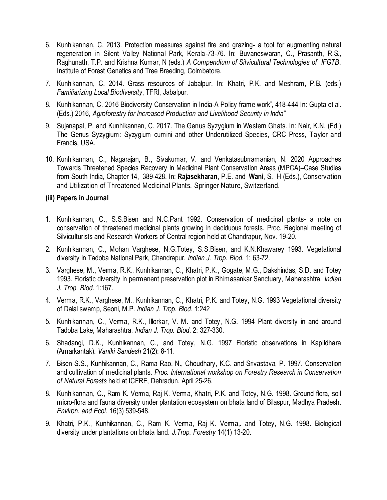- 6. Kunhikannan, C. 2013. Protection measures against fire and grazing- a tool for augmenting natural regeneration in Silent Valley National Park, Kerala-73-76. In: Buvaneswaran, C., Prasanth, R.S., Raghunath, T.P. and Krishna Kumar, N (eds.) *A Compendium of Silvicultural Technologies of IFGTB*. Institute of Forest Genetics and Tree Breeding, Coimbatore.
- 7. Kunhikannan, C. 2014. Grass resources of Jabalpur. In: Khatri, P.K. and Meshram, P.B. (eds.) *Familiarizing Local Biodiversity*, TFRI, Jabalpur.
- 8. Kunhikannan, C. 2016 Biodiversity Conservation in India-A Policy frame work", 418-444 In: Gupta et al. (Eds.) 2016, *Agroforestry for Increased Production and Livelihood Security in India*"
- 9. Sujanapal, P. and Kunhikannan, C. 2017. The Genus Syzygium in Western Ghats. In: Nair, K.N. (Ed.) The Genus Syzygium: Syzygium cumini and other Underutilized Species, CRC Press, Taylor and Francis, USA.
- 10. Kunhikannan, C., Nagarajan, B., Sivakumar, V. and Venkatasubrramanian, N. 2020 Approaches Towards Threatened Species Recovery in Medicinal Plant Conservation Areas (MPCA)–Case Studies from South India, Chapter 14, 389-428. In: **Rajasekharan**, P.E. and **Wani**, S. H (Eds.), Conservation and Utilization of Threatened Medicinal Plants, Springer Nature, Switzerland.

#### **(iii) Papers in Journal**

- 1. Kunhikannan, C., S.S.Bisen and N.C.Pant 1992. Conservation of medicinal plants- a note on conservation of threatened medicinal plants growing in deciduous forests. Proc. Regional meeting of Silviculturists and Research Workers of Central region held at Chandrapur, Nov. 19-20.
- 2. Kunhikannan, C., Mohan Varghese, N.G.Totey, S.S.Bisen, and K.N.Khawarey 1993. Vegetational diversity in Tadoba National Park, Chandrapur. *Indian J. Trop. Biod.* 1: 63-72.
- 3. Varghese, M., Verma, R.K., Kunhikannan, C., Khatri, P.K., Gogate, M.G., Dakshindas, S.D. and Totey 1993. Floristic diversity in permanent preservation plot in Bhimasankar Sanctuary, Maharashtra. *Indian J. Trop. Biod*. 1:167.
- 4. Verma, R.K., Varghese, M., Kunhikannan, C., Khatri, P.K. and Totey, N.G. 1993 Vegetational diversity of Dalal swamp, Seoni, M.P. *Indian J. Trop. Biod*. 1:242
- 5. Kunhikannan, C., Verma, R.K., Illorkar, V. M. and Totey, N.G. 1994 Plant diversity in and around Tadoba Lake, Maharashtra. *Indian J. Trop. Biod*. 2: 327-330.
- 6. Shadangi, D.K., Kunhikannan, C., and Totey, N.G. 1997 Floristic observations in Kapildhara (Amarkantak). *Vaniki Sandesh* 21(2): 8-11.
- 7. Bisen S.S., Kunhikannan, C., Rama Rao, N., Choudhary, K.C. and Srivastava, P. 1997. Conservation and cultivation of medicinal plants. *Proc. International workshop on Forestry Research in Conservation of Natural Forests* held at ICFRE, Dehradun. April 25-26.
- 8. Kunhikannan, C., Ram K. Verma, Raj K. Verma, Khatri, P.K. and Totey, N.G. 1998. Ground flora, soil micro-flora and fauna diversity under plantation ecosystem on bhata land of Bilaspur, Madhya Pradesh*. Environ. and Ecol*. 16(3) 539-548.
- 9. Khatri, P.K., Kunhikannan, C., Ram K. Verma, Raj K. Verma,. and Totey, N.G. 1998. Biological diversity under plantations on bhata land. *J.Trop. Forestry* 14(1) 13-20.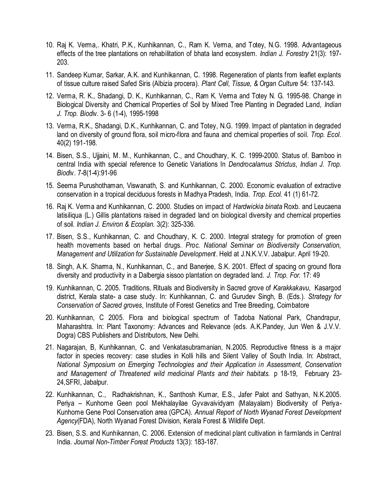- 10. Raj K. Verma,. Khatri, P.K., Kunhikannan, C., Ram K. Verma, and Totey, N.G. 1998. Advantageous effects of the tree plantations on rehabilitation of bhata land ecosystem. *Indian J. Forestry* 21(3): 197- 203.
- 11. Sandeep Kumar, Sarkar, A.K. and Kunhikannan, C. 1998. Regeneration of plants from leaflet explants of tissue culture raised Safed Siris (Albizia procera). *Plant Cell, Tissue, & Organ Culture* 54: 137-143.
- 12. Verma, R. K., Shadangi, D. K., Kunhikannan, C., Ram K. Verma and Totey N. G. 1995-98. Change in Biological Diversity and Chemical Properties of Soil by Mixed Tree Planting in Degraded Land, *Indian J. Trop. Biod*iv. 3- 6 (1-4), 1995-1998
- 13. Verma, R.K., Shadangi, D.K., Kunhikannan, C. and Totey, N.G. 1999. Impact of plantation in degraded land on diversity of ground flora, soil micro-flora and fauna and chemical properties of soil. *Trop. Ecol*. 40(2) 191-198.
- 14. Bisen, S.S., Ujjaini, M. M., Kunhikannan, C., and Choudhary, K. C. 1999-2000. Status of. Bamboo in central India with special reference to Genetic Variations In *Dendrocalamus Strictus*, *Indian J. Trop. Biod*iv. 7-8(1-4):91-96
- 15. Seema Purushothaman, Viswanath, S. and Kunhikannan, C. 2000. Economic evaluation of extractive conservation in a tropical deciduous forests in Madhya Pradesh, India. *Trop. Ecol*. 41 (1) 61-72.
- 16. Raj K. Verma and Kunhikannan, C. 2000. Studies on impact of *Hardwickia binata* Roxb. and Leucaena latisiliqua (L.) Gillis plantations raised in degraded land on biological diversity and chemical properties of soil. *Indian J. Environ & Ecoplan.* 3(2): 325-336.
- 17. Bisen, S.S., Kunhikannan, C. and Choudhary, K. C. 2000. Integral strategy for promotion of green health movements based on herbal drugs. *Proc. National Seminar on Biodiversity Conservation, Management and Utilization for Sustainable Development*. Held at J.N.K.V.V. Jabalpur. April 19-20.
- 18. Singh, A.K. Sharma, N., Kunhikannan, C., and Banerjee, S.K. 2001. Effect of spacing on ground flora diversity and productivity in a Dalbergia sissoo plantation on degraded land. *J. Trop. For.* 17: 49
- 19. Kunhikannan, C. 2005. Traditions, Rituals and Biodiversity in Sacred grove of *Karakkakavu*, Kasargod district, Kerala state- a case study. In: Kunhikannan, C. and Gurudev Singh, B. (Eds.). *Strategy for Conservation of Sacred groves*, Institute of Forest Genetics and Tree Breeding, Coimbatore
- 20. Kunhikannan, C 2005. Flora and biological spectrum of Tadoba National Park, Chandrapur, Maharashtra. In: Plant Taxonomy: Advances and Relevance (eds. A.K.Pandey, Jun Wen & J.V.V. Dogra) CBS Publishers and Distributors, New Delhi.
- 21. Nagarajan, B, Kunhikannan, C. and Venkatasubramanian, N.2005. Reproductive fitness is a major factor in species recovery: case studies in Kolli hills and Silent Valley of South India. In: Abstract, *National Symposium on Emerging Technologies and their Application in Assessment, Conservation and Management of Threatened wild medicinal Plants and their habitats.* p 18-19,February 23- 24,SFRI, Jabalpur.
- 22. Kunhikannan, C., Radhakrishnan, K., Santhosh Kumar, E.S., Jafer Palot and Sathyan, N.K.2005. Periya – Kunhome Geen pool Mekhalayilae Gyvavaividyam (Malayalam) Biodiversity of Periya-Kunhome Gene Pool Conservation area (GPCA). *Annual Report of North Wyanad Forest Development Agency*(FDA), North Wyanad Forest Division, Kerala Forest & Wildlife Dept.
- 23. Bisen, S.S. and Kunhikannan, C. 2006. Extension of medicinal plant cultivation in farmlands in Central India. *Journal Non-Timber Forest Products* 13(3): 183-187.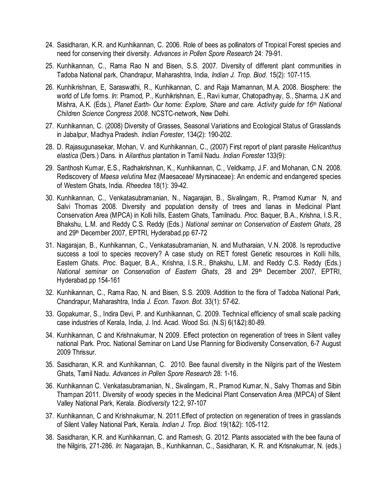- 24. Sasidharan, K.R. and Kunhikannan, C. 2006. Role of bees as pollinators of Tropical Forest species and need for conserving their diversity. *Advances in Pollen Spore Research* 24: 79-91.
- 25. Kunhikannan, C., Rama Rao N and Bisen, S.S. 2007. Diversity of different plant communities in Tadoba National park, Chandrapur, Maharashtra, India, *Indian J. Trop. Biod*. 15(2): 107-115.
- 26. Kunhikrishnan, E, Saraswathi, R., Kunhikannan, C. and Raja Mamannan, M.A. 2008. Biosphere: the world of Life forms. *In*: Pramod, P., Kunhikrishnan, E., Ravi kumar, Chatopadhyay, S., Sharma, J.K and Mishra, A.K. (Eds.), *Planet Earth- Our home: Explore, Share and care. Activity guide for 16th National Children Science Congress 2008*. NCSTC-network, New Delhi.
- 27. Kunhikannan, C. (2008) Diversity of Grasses, Seasonal Variations and Ecological Status of Grasslands in Jabalpur, Madhya Pradesh. *Indian Forester*, 134(2): 190-202.
- 28. D. Rajasugunasekar, Mohan, V. and Kunhikannan, C., (2007) First report of plant parasite *Helicanthus elastica* (Ders.) Dans. in *Ailanthus* plantation in Tamil Nadu. *Indian Forester* 133(9):
- 29. Santhosh Kumar, E.S., Radhakrishnan, K., Kunhikannan, C., Veldkamp, J.F. and Mohanan, C.N. 2008. Rediscovery of *Maesa velutina* Mez (Maesaceae/ Myrsinaceae): An endemic and endangered species of Western Ghats, India. *Rheedea* 18(1): 39-42.
- 30. Kunhikannan, C., Venkatasubramanian, N., Nagarajan, B., Sivalingam, R., Pramod Kumar N, and Salvi Thomas 2008. Diversity and population density of trees and lianas in Medicinal Plant Conservation Area (MPCA) in Kolli hills, Eastern Ghats, Tamilnadu. *Proc*. Baquer, B.A., Krishna, I.S.R., Bhakshu, L.M. and Reddy C.S. Reddy (Eds.) *National seminar on Conservation of Eastern Ghats*, 28 and 29<sup>th</sup> December 2007, EPTRI, Hyderabad.pp 67-72
- 31. Nagarajan, B., Kunhikannan, C., Venkatasubramanian, N. and Mutharaian, V.N. 2008. Is reproductive success a tool to species recovery? A case study on RET forest Genetic resources in Kolli hills, Eastern Ghats. *Proc*. Baquer, B.A., Krishna, I.S.R., Bhakshu, L.M. and Reddy C.S. Reddy (Eds.) *National seminar on Conservation of Eastern Ghats*, 28 and 29th December 2007, EPTRI, Hyderabad.pp 154-161
- 32. Kunhikannan, C., Rama Rao, N. and Bisen, S.S. 2009. Addition to the flora of Tadoba National Park, Chandrapur, Maharashtra, India *J. Econ. Taxon. Bot.* 33(1): 57-62.
- 33. Gopakumar, S., Indira Devi, P. and Kunhikannan, C. 2009. Technical efficiency of small scale packing case industries of Kerala, India, J. Ind. Acad. Wood Sci. (N.S) 6(1&2):80-89.
- 34. Kunhikannan, C and Krishnakumar, N 2009. Effect protection on regeneration of trees in Silent valley national Park. Proc. National Seminar on Land Use Planning for Biodiversity Conservation, 6-7 August 2009 Thrissur.
- 35. Sasidharan, K.R. and Kunhikannan, C. 2010. Bee faunal diversity in the Nilgiris part of the Western Ghats, Tamil Nadu. *Advances in Pollen Spore Research* 28: 1-16.
- 36. Kunhikannan C. Venkatasubramanian, N., Sivalingam, R., Pramod Kumar, N., Salvy Thomas and Sibin Thampan 2011. Diversity of woody species in the Medicinal Plant Conservation Area (MPCA) of Silent Valley National Park, Kerala. *Biodiversity* 12:2, 97-107
- 37. Kunhikannan, C and Krishnakumar, N. 2011.Effect of protection on regeneration of trees in grasslands of Silent Valley National Park, Kerala. *Indian J. Trop. Biod.* 19(1&2): 105-112.
- 38. Sasidharan, K.R. and Kunhikannan, C. and Ramesh, G. 2012. Plants associated with the bee fauna of the Nilgiris, 271-286. *In*: Nagarajan, B., Kunhikannan, C., Sasidharan, K. R. and Krisnakumar, N. (eds.)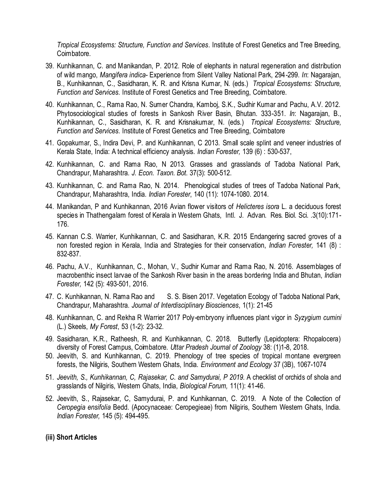*Tropical Ecosystems: Structure, Function and Services*. Institute of Forest Genetics and Tree Breeding, Coimbatore.

- 39. Kunhikannan, C. and Manikandan, P. 2012. Role of elephants in natural regeneration and distribution of wild mango, *Mangifera indica*- Experience from Silent Valley National Park, 294-299. *In*: Nagarajan, B., Kunhikannan, C., Sasidharan, K. R. and Krisna Kumar, N. (eds.) *Tropical Ecosystems: Structure, Function and Services*. Institute of Forest Genetics and Tree Breeding, Coimbatore.
- 40. Kunhikannan, C., Rama Rao, N. Sumer Chandra, Kamboj, S.K., Sudhir Kumar and Pachu, A.V. 2012. Phytosociological studies of forests in Sankosh River Basin, Bhutan. 333-351. *In*: Nagarajan, B., Kunhikannan, C., Sasidharan, K. R. and Krisnakumar, N. (eds.) *Tropical Ecosystems: Structure, Function and Services*. Institute of Forest Genetics and Tree Breeding, Coimbatore
- 41. Gopakumar, S., Indira Devi, P. and Kunhikannan, C 2013. Small scale splint and veneer industries of Kerala State, India: A technical efficiency analysis. *Indian Forester,* 139 (6) : 530-537,
- 42. Kunhikannan, C. and Rama Rao, N 2013. Grasses and grasslands of Tadoba National Park, Chandrapur, Maharashtra. *J. Econ. Taxon. Bot*. 37(3): 500-512.
- 43. Kunhikannan, C. and Rama Rao, N. 2014. Phenological studies of trees of Tadoba National Park, Chandrapur, Maharashtra, India. *Indian Forester*, 140 (11): 1074-1080. 2014.
- 44. Manikandan, P and Kunhikannan, 2016 Avian flower visitors of *Helicteres isora* L. a deciduous forest species in Thathengalam forest of Kerala in Western Ghats, Intl. J. Advan. Res. Biol. Sci. .3(10):171- 176.
- 45. Kannan C.S. Warrier, Kunhikannan, C. and Sasidharan, K.R. 2015 Endangering sacred groves of a non forested region in Kerala, India and Strategies for their conservation, *Indian Forester,* 141 (8) : 832-837.
- 46. Pachu, A.V., Kunhikannan, C., Mohan, V., Sudhir Kumar and Rama Rao, N. 2016. Assemblages of macrobenthic insect larvae of the Sankosh River basin in the areas bordering India and Bhutan, *Indian Forester,* 142 (5): 493-501, 2016.
- 47. C. Kunhikannan, N. Rama Rao and S. S. Bisen 2017. Vegetation Ecology of Tadoba National Park, Chandrapur, Maharashtra. *Journal of Interdisciplinary Biosciences*, 1(1): 21-45
- 48. Kunhikannan, C. and Rekha R Warrier 2017 Poly-embryony influences plant vigor in *Syzygium cumini* (L.) Skeels, *My Forest*, 53 (1-2): 23-32.
- 49. Sasidharan, K.R., Ratheesh, R. and Kunhikannan, C. 2018. Butterfly (Lepidoptera: Rhopalocera) diversity of Forest Campus, Coimbatore. *Uttar Pradesh Journal of Zoology* 38: (1)1-8, 2018.
- 50. Jeevith, S. and Kunhikannan, C. 2019. Phenology of tree species of tropical montane evergreen forests, the Nilgiris, Southern Western Ghats, India. *Environment and Ecology* 37 (3B), 1067-1074
- 51. *Jeevith, S., Kunhikannan, C, Rajasekar, C. and Samydurai, P 2019.* A checklist of orchids of shola and grasslands of Nilgiris, Western Ghats, India, *Biological Forum,* 11(1): 41-46.
- 52. Jeevith, S., Rajasekar, C, Samydurai, P. and Kunhikannan, C. 2019. A Note of the Collection of *Ceropegia ensifolia* Bedd. (Apocynaceae: Ceropegieae) from Nilgiris, Southern Western Ghats, India. *Indian Forester,* 145 (5): 494-495.

#### **(iii) Short Articles**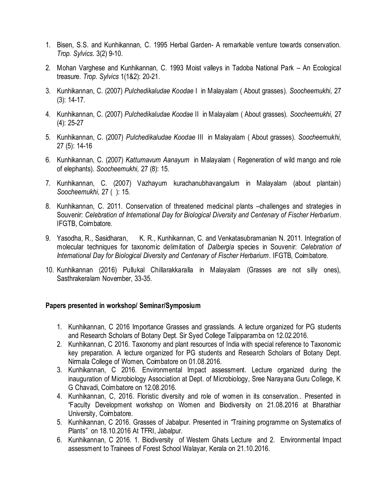- 1. Bisen, S.S. and Kunhikannan, C. 1995 Herbal Garden- A remarkable venture towards conservation. *Trop. Sylvics*. 3(2) 9-10.
- 2. Mohan Varghese and Kunhikannan, C. 1993 Moist valleys in Tadoba National Park An Ecological treasure. *Trop. Sylvics* 1(1&2): 20-21.
- 3. Kunhikannan, C. (2007) *Pulchedikaludae Koodae* I in Malayalam ( About grasses). *Soocheemukhi,* 27 (3): 14-17.
- 4. Kunhikannan, C. (2007) *Pulchedikaludae Koodae* II in Malayalam ( About grasses). *Soocheemukhi,* 27 (4): 25-27
- 5. Kunhikannan, C. (2007) *Pulchedikaludae Koodae* III in Malayalam ( About grasses). *Soocheemukhi,*  27 (5): 14-16
- 6. Kunhikannan, C. (2007) *Kattumavum Aanayum* in Malayalam ( Regeneration of wild mango and role of elephants). *Soocheemukhi,* 27 (8): 15.
- 7. Kunhikannan, C. (2007) Vazhayum kurachanubhavangalum in Malayalam (about plantain) *Soocheemukhi,* 27 ( ): 15.
- 8. Kunhikannan, C. 2011. Conservation of threatened medicinal plants –challenges and strategies in Souvenir: *Celebration of International Day for Biological Diversity and Centenary of Fischer Herbarium*. IFGTB, Coimbatore.
- 9. Yasodha, R., Sasidharan, K. R., Kunhikannan, C. and Venkatasubramanian N. 2011. Integration of molecular techniques for taxonomic delimitation of *Dalbergia* species in Souvenir: *Celebration of International Day for Biological Diversity and Centenary of Fischer Herbarium*. IFGTB, Coimbatore.
- 10. Kunhikannan (2016) Pullukal Chillarakkaralla in Malayalam (Grasses are not silly ones), Sasthrakeralam November, 33-35.

#### **Papers presented in workshop/ Seminar/Symposium**

- 1. Kunhikannan, C 2016 Importance Grasses and grasslands. A lecture organized for PG students and Research Scholars of Botany Dept. Sir Syed College Talipparamba on 12.02.2016.
- 2. Kunhikannan, C 2016. Taxonomy and plant resources of India with special reference to Taxonomic key preparation. A lecture organized for PG students and Research Scholars of Botany Dept. Nirmala College of Women, Coimbatore on 01.08.2016.
- 3. Kunhikannan, C 2016. Environmental Impact assessment. Lecture organized during the inauguration of Microbiology Association at Dept. of Microbiology, Sree Narayana Guru College, K G Chavadi, Coimbatore on 12.08.2016.
- 4. Kunhikannan, C, 2016. Floristic diversity and role of women in its conservation.. Presented in "Faculty Development workshop on Women and Biodiversity on 21.08.2016 at Bharathiar University, Coimbatore.
- 5. Kunhikannan, C 2016. Grasses of Jabalpur. Presented in "Training programme on Systematics of Plants" on 18.10.2016 At TFRI, Jabalpur.
- 6. Kunhikannan, C 2016. 1. Biodiversity of Western Ghats Lecture and 2. Environmental Impact assessment to Trainees of Forest School Walayar, Kerala on 21.10.2016.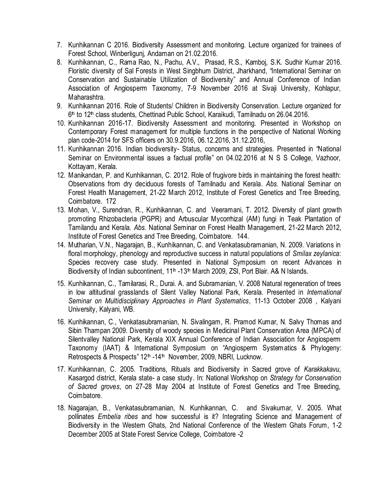- 7. Kunhikannan C 2016. Biodiversity Assessment and monitoring. Lecture organized for trainees of Forest School, Winberligunj, Andaman on 21.02.2016.
- 8. Kunhikannan, C., Rama Rao, N., Pachu, A.V., Prasad, R.S., Kamboj, S.K. Sudhir Kumar 2016. Floristic diversity of Sal Forests in West Singbhum District, Jharkhand, "International Seminar on Conservation and Sustainable Utilization of Biodiversity" and Annual Conference of Indian Association of Angiosperm Taxonomy, 7-9 November 2016 at Sivaji University, Kohlapur, Maharashtra.
- 9. Kunhikannan 2016. Role of Students/ Children in Biodiversity Conservation. Lecture organized for 6<sup>th</sup> to 12<sup>th</sup> class students, Chettinad Public School, Karaikudi, Tamilnadu on 26.04.2016.
- 10. Kunhikannan 2016-17. Biodiversity Assessment and monitoring. Presented in Workshop on Contemporary Forest management for multiple functions in the perspective of National Working plan code-2014 for SFS officers on 30.9.2016, 06.12.2016, 31.12.2016,
- 11. Kunhikannan 2016. Indian biodiversity- Status, concerns and strategies. Presented in "National Seminar on Environmental issues a factual profile" on 04.02.2016 at N S S College, Vazhoor, Kottayam, Kerala.
- 12. Manikandan, P. and Kunhikannan, C. 2012. Role of frugivore birds in maintaining the forest health: Observations from dry deciduous forests of Tamilnadu and Kerala. *Abs.* National Seminar on Forest Health Management, 21-22 March 2012, Institute of Forest Genetics and Tree Breeding, Coimbatore. 172
- 13. Mohan, V., Surendran, R., Kunhikannan, C. and Veeramani, T. 2012. Diversity of plant growth promoting Rhizobacteria (PGPR) and Arbuscular Mycorrhizal (AM) fungi in Teak Plantation of Tamilandu and Kerala. *Abs.* National Seminar on Forest Health Management, 21-22 March 2012, Institute of Forest Genetics and Tree Breeding, Coimbatore. 144.
- 14. Mutharian, V.N., Nagarajan, B., Kunhikannan, C. and Venkatasubramanian, N. 2009. Variations in floral morphology, phenology and reproductive success in natural populations of *Smilax zeylanica*: Species recovery case study. Presented in National Symposium on recent Advances in Biodiversity of Indian subcontinent, 11<sup>th</sup> -13<sup>th</sup> March 2009, ZSI, Port Blair. A& N Islands.
- 15. Kunhikannan, C., Tamilarasi, R., Durai. A. and Subramanian, V. 2008 Natural regeneration of trees in low altitudinal grasslands of Silent Valley National Park, Kerala. Presented in *International Seminar on Multidisciplinary Approaches in Plant Systematics*, 11-13 October 2008 , Kalyani University, Kalyani, WB.
- 16. Kunhikannan, C., Venkatasubramanian, N. Sivalingam, R. Pramod Kumar, N. Salvy Thomas and Sibin Thampan 2009. Diversity of woody species in Medicinal Plant Conservation Area (MPCA) of Silentvalley National Park, Kerala XIX Annual Conference of Indian Association for Angiosperm Taxonomy (IAAT) & International Symposium on "Angiosperm Systematics & Phylogeny: Retrospects & Prospects" 12<sup>th</sup> -14<sup>th</sup> November, 2009, NBRI, Lucknow.
- 17. Kunhikannan, C. 2005. Traditions, Rituals and Biodiversity in Sacred grove of *Karakkakavu*, Kasargod district, Kerala state- a case study. In: National Workshop on *Strategy for Conservation of Sacred groves*, on 27-28 May 2004 at Institute of Forest Genetics and Tree Breeding, Coimbatore.
- 18. Nagarajan, B., Venkatasubramanian, N. Kunhikannan, C. and Sivakumar, V. 2005. What pollinates *Embelia ribes* and how successful is it? Integrating Science and Management of Biodiversity in the Western Ghats, 2nd National Conference of the Western Ghats Forum, 1-2 December 2005 at State Forest Service College, Coimbatore -2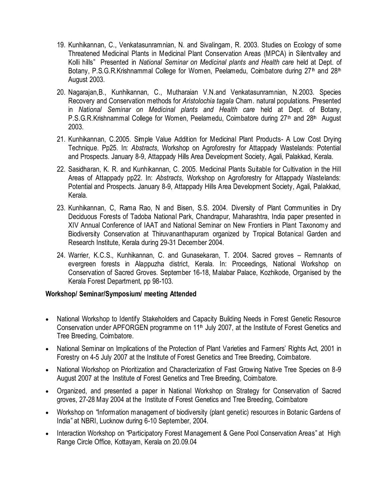- 19. Kunhikannan, C., Venkatasunramnian, N. and Sivalingam, R. 2003. Studies on Ecology of some Threatened Medicinal Plants in Medicinal Plant Conservation Areas (MPCA) in Silentvalley and Kolli hills" Presented in *National Seminar on Medicinal plants and Health care* held at Dept. of Botany, P.S.G.R.Krishnammal College for Women, Peelamedu, Coimbatore during 27<sup>th</sup> and 28<sup>th</sup> August 2003.
- 20. Nagarajan,B., Kunhikannan, C., Mutharaian V.N.and Venkatasunramnian, N.2003. Species Recovery and Conservation methods for *Aristolochia tagala* Cham. natural populations. Presented in *National Seminar on Medicinal plants and Health care* held at Dept. of Botany, P.S.G.R.Krishnammal College for Women, Peelamedu, Coimbatore during 27<sup>th</sup> and 28<sup>th</sup> August 2003.
- 21. Kunhikannan, C.2005. Simple Value Addition for Medicinal Plant Products- A Low Cost Drying Technique. Pp25. In: *Abstracts*, Workshop on Agroforestry for Attappady Wastelands: Potential and Prospects. January 8-9, Attappady Hills Area Development Society, Agali, Palakkad, Kerala.
- 22. Sasidharan, K. R. and Kunhikannan, C. 2005. Medicinal Plants Suitable for Cultivation in the Hill Areas of Attappady pp22. In: *Abstracts*, Workshop on Agroforestry for Attappady Wastelands: Potential and Prospects. January 8-9, Attappady Hills Area Development Society, Agali, Palakkad, Kerala.
- 23. Kunhikannan, C, Rama Rao, N and Bisen, S.S. 2004. Diversity of Plant Communities in Dry Deciduous Forests of Tadoba National Park, Chandrapur, Maharashtra, India paper presented in XIV Annual Conference of IAAT and National Seminar on New Frontiers in Plant Taxonomy and Biodiversity Conservation at Thiruvananthapuram organized by Tropical Botanical Garden and Research Institute, Kerala during 29-31 December 2004.
- 24. Warrier, K.C.S., Kunhikannan, C. and Gunasekaran, T. 2004. Sacred groves Remnants of evergreen forests in Alappuzha district, Kerala. In: Proceedings, National Workshop on Conservation of Sacred Groves. September 16-18, Malabar Palace, Kozhikode, Organised by the Kerala Forest Department, pp 98-103.

### **Workshop/ Seminar/Symposium/ meeting Attended**

- National Workshop to Identify Stakeholders and Capacity Building Needs in Forest Genetic Resource Conservation under APFORGEN programme on 11<sup>th</sup> July 2007, at the Institute of Forest Genetics and Tree Breeding, Coimbatore.
- National Seminar on Implications of the Protection of Plant Varieties and Farmers' Rights Act, 2001 in Forestry on 4-5 July 2007 at the Institute of Forest Genetics and Tree Breeding, Coimbatore.
- National Workshop on Prioritization and Characterization of Fast Growing Native Tree Species on 8-9 August 2007 at the Institute of Forest Genetics and Tree Breeding, Coimbatore.
- Organized, and presented a paper in National Workshop on Strategy for Conservation of Sacred groves, 27-28 May 2004 at the Institute of Forest Genetics and Tree Breeding, Coimbatore
- Workshop on "Information management of biodiversity (plant genetic) resources in Botanic Gardens of India" at NBRI, Lucknow during 6-10 September, 2004.
- Interaction Workshop on "Participatory Forest Management & Gene Pool Conservation Areas" at High Range Circle Office, Kottayam, Kerala on 20.09.04